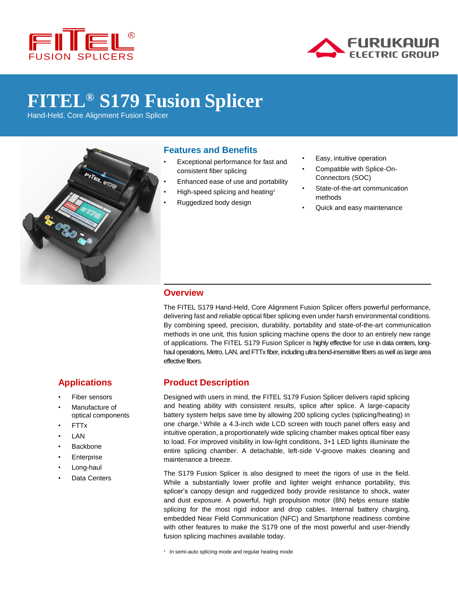



# **FITEL® S179 Fusion Splicer**

Hand-Held, Core Alignment Fusion Splicer



# **Features and Benefits**

- Exceptional performance for fast and consistent fiber splicing
- Enhanced ease of use and portability
- High-speed splicing and heating<sup>1</sup>
- Ruggedized body design
- Easy, intuitive operation
- Compatible with Splice-On-Connectors (SOC)
- State-of-the-art communication methods
- Quick and easy maintenance

### **Overview**

The FITEL S179 Hand-Held, Core Alignment Fusion Splicer offers powerful performance, delivering fast and reliable optical fiber splicing even under harsh environmental conditions. By combining speed, precision, durability, portability and state-of-the-art communication methods in one unit, this fusion splicing machine opens the door to an entirely new range of applications. The FITEL S179 Fusion Splicer is highly effective for use in data centers, longhaul operations, Metro, LAN, and FTTx fiber, including ultra bend-insensitive fibers as well as large area effective fibers.

# **Applications**

- Fiber sensors
- Manufacture of optical components
- FTTx
- **LAN**
- **Backbone**
- **Enterprise**
- Long-haul
- Data Centers

# **Product Description**

Designed with users in mind, the FITEL S179 Fusion Splicer delivers rapid splicing and heating ability with consistent results, splice after splice. A large-capacity battery system helps save time by allowing 200 splicing cycles (splicing/heating) in one charge.<sup>1</sup> While a 4.3-inch wide LCD screen with touch panel offers easy and intuitive operation, a proportionately wide splicing chamber makes optical fiber easy to load. For improved visibility in low-light conditions, 3+1 LED lights illuminate the entire splicing chamber. A detachable, left-side V-groove makes cleaning and maintenance a breeze.

The S179 Fusion Splicer is also designed to meet the rigors of use in the field. While a substantially lower profile and lighter weight enhance portability, this splicer's canopy design and ruggedized body provide resistance to shock, water and dust exposure. A powerful, high propulsion motor (8N) helps ensure stable splicing for the most rigid indoor and drop cables. Internal battery charging, embedded Near Field Communication (NFC) and Smartphone readiness combine with other features to make the S179 one of the most powerful and user-friendly fusion splicing machines available today.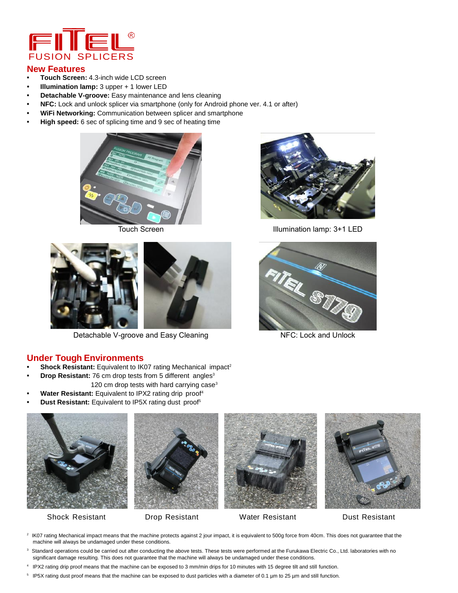

### **New Features**

- **• Touch Screen:** 4.3-inch wide LCD screen
- **• Illumination lamp:** 3 upper + 1 lower LED
- **• Detachable V-groove:** Easy maintenance and lens cleaning
- **• NFC:** Lock and unlock splicer via smartphone (only for Android phone ver. 4.1 or after)
- **• WiFi Networking:** Communication between splicer and smartphone
- **• High speed:** 6 sec of splicing time and 9 sec of heating time





Detachable V-groove and Easy Cleaning NFC: Lock and Unlock

# **Under Tough Environments**

- **Shock Resistant:** Equivalent to IK07 rating Mechanical impact<sup>2</sup>
- **Drop Resistant:** 76 cm drop tests from 5 different angles<sup>3</sup>
	- 120 cm drop tests with hard carrying case $3$
- **• Water Resistant:** Equivalent to IPX2 rating drip proof<sup>4</sup> **Dust Resistant:** Equivalent to IP5X rating dust proof<sup>5</sup>









Shock Resistant Drop Resistant Water Resistant Dust Resistant

- <sup>2</sup> IK07 rating Mechanical impact means that the machine protects against 2 jour impact, it is equivalent to 500g force from 40cm. This does not guarantee that the machine will always be undamaged under these conditions.
- <sup>3</sup> Standard operations could be carried out after conducting the above tests. These tests were performed at the Furukawa Electric Co., Ltd. laboratories with no significant damage resulting. This does not guarantee that the machine will always be undamaged under these conditions.
- <sup>4</sup>IPX2 rating drip proof means that the machine can be exposed to 3 mm/min drips for 10 minutes with 15 degree tilt and still function.
- <sup>5</sup>IP5X rating dust proof means that the machine can be exposed to dust particles with a diameter of 0.1 µm to 25 µm and still function.



Touch Screen Illumination lamp: 3+1 LED

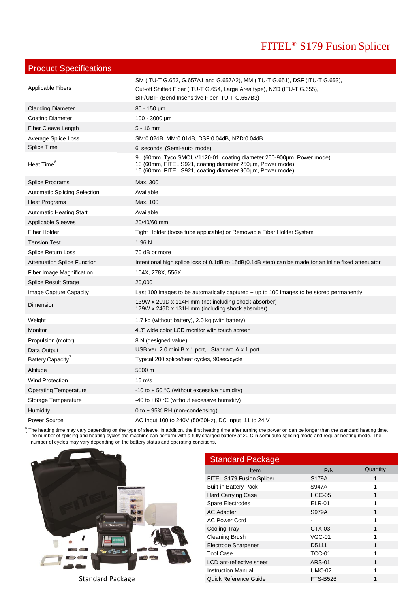# FITEL® S179 Fusion Splicer

# Product Specifications

| Applicable Fibers                   | SM (ITU-T G.652, G.657A1 and G.657A2), MM (ITU-T G.651), DSF (ITU-T G.653),<br>Cut-off Shifted Fiber (ITU-T G.654, Large Area type), NZD (ITU-T G.655),<br>BIF/UBIF (Bend Insensitive Fiber ITU-T G.657B3) |
|-------------------------------------|------------------------------------------------------------------------------------------------------------------------------------------------------------------------------------------------------------|
| <b>Cladding Diameter</b>            | $80 - 150 \mu m$                                                                                                                                                                                           |
| <b>Coating Diameter</b>             | $100 - 3000 \mu m$                                                                                                                                                                                         |
| Fiber Cleave Length                 | $5 - 16$ mm                                                                                                                                                                                                |
| Average Splice Loss                 | SM:0.02dB, MM:0.01dB, DSF:0.04dB, NZD:0.04dB                                                                                                                                                               |
| Splice Time                         | 6 seconds (Semi-auto mode)                                                                                                                                                                                 |
| Heat Time <sup>6</sup>              | 9 (60mm, Tyco SMOUV1120-01, coating diameter 250-900µm, Power mode)<br>13 (60mm, FITEL S921, coating diameter 250µm, Power mode)<br>15 (60mm, FITEL S921, coating diameter 900um, Power mode)              |
| <b>Splice Programs</b>              | Max. 300                                                                                                                                                                                                   |
| <b>Automatic Splicing Selection</b> | Available                                                                                                                                                                                                  |
| <b>Heat Programs</b>                | Max. 100                                                                                                                                                                                                   |
| <b>Automatic Heating Start</b>      | Available                                                                                                                                                                                                  |
| <b>Applicable Sleeves</b>           | 20/40/60 mm                                                                                                                                                                                                |
| <b>Fiber Holder</b>                 | Tight Holder (loose tube applicable) or Removable Fiber Holder System                                                                                                                                      |
| <b>Tension Test</b>                 | 1.96 N                                                                                                                                                                                                     |
| <b>Splice Return Loss</b>           | 70 dB or more                                                                                                                                                                                              |
| <b>Attenuation Splice Function</b>  | Intentional high splice loss of 0.1dB to 15dB(0.1dB step) can be made for an inline fixed attenuator                                                                                                       |
| Fiber Image Magnification           | 104X, 278X, 556X                                                                                                                                                                                           |
| <b>Splice Result Strage</b>         | 20,000                                                                                                                                                                                                     |
| Image Capture Capacity              | Last 100 images to be automatically captured $+$ up to 100 images to be stored permanently                                                                                                                 |
| Dimension                           | 139W x 209D x 114H mm (not including shock absorber)<br>179W x 246D x 131H mm (including shock absorber)                                                                                                   |
| Weight                              | 1.7 kg (without battery), 2.0 kg (with battery)                                                                                                                                                            |
| Monitor                             | 4.3" wide color LCD monitor with touch screen                                                                                                                                                              |
| Propulsion (motor)                  | 8 N (designed value)                                                                                                                                                                                       |
| Data Output                         | USB ver. 2.0 mini B $x$ 1 port, Standard A $x$ 1 port                                                                                                                                                      |
| Battery Capacity                    | Typical 200 splice/heat cycles, 90sec/cycle                                                                                                                                                                |
| Altitude                            | 5000 m                                                                                                                                                                                                     |
| <b>Wind Protection</b>              | $15 \text{ m/s}$                                                                                                                                                                                           |
| <b>Operating Temperature</b>        | -10 to $+50$ °C (without excessive humidity)                                                                                                                                                               |
| Storage Temperature                 | -40 to $+60$ °C (without excessive humidity)                                                                                                                                                               |
| Humidity                            | 0 to $+95\%$ RH (non-condensing)                                                                                                                                                                           |
| Power Source                        | AC Input 100 to 240V (50/60Hz), DC Input 11 to 24 V                                                                                                                                                        |

<sup>6</sup> The heating time may vary depending on the type of sleeve. In addition, the first heating time after turning the power on can be longer than the standard heating time.<br><sup>7</sup> The number of splicing and heating cycles the number of cycles may vary depending on the battery status and operating conditions.



| <b>Item</b>                  | P/N                     | Quantity |
|------------------------------|-------------------------|----------|
| FITEL S179 Fusion Splicer    | S <sub>179</sub> A      |          |
| <b>Built-in Battery Pack</b> | <b>S947A</b>            |          |
| <b>Hard Carrying Case</b>    | <b>HCC-05</b>           |          |
| Spare Electrodes             | <b>ELR-01</b>           |          |
| <b>AC Adapter</b>            | <b>S979A</b>            |          |
| <b>AC Power Cord</b>         |                         |          |
| <b>Cooling Tray</b>          | CTX-03                  |          |
| <b>Cleaning Brush</b>        | $VGC-01$                |          |
| <b>Electrode Sharpener</b>   | D5111                   |          |
| <b>Tool Case</b>             | <b>TCC-01</b>           |          |
| LCD ant-reflective sheet     | <b>ARS-01</b>           |          |
| <b>Instruction Manual</b>    | $UMC-02$                |          |
| <b>Quick Reference Guide</b> | <b>FTS-B526</b>         |          |
|                              | <b>Standard Package</b> |          |